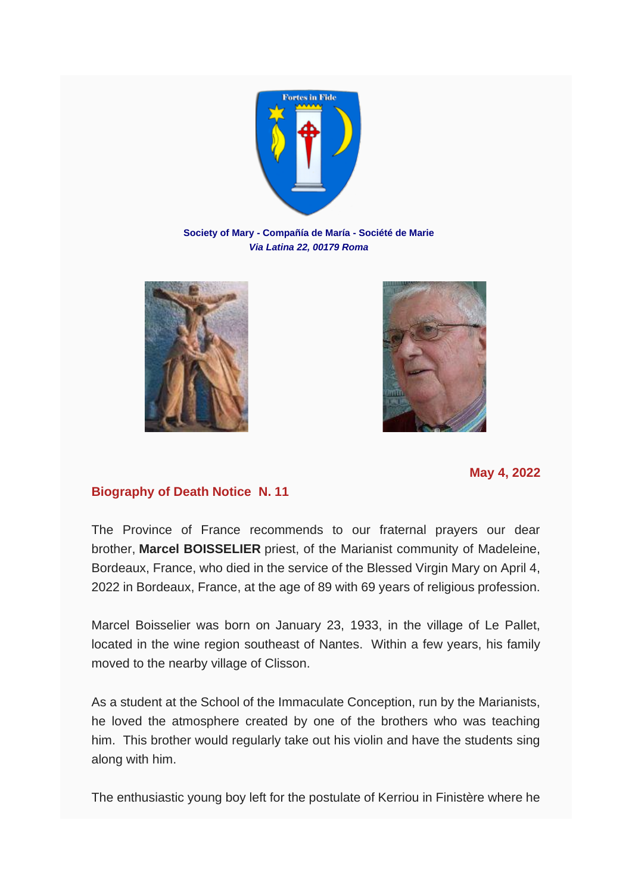

**Society of Mary - Compañía de María - Société de Marie** *Via Latina 22, 00179 Roma*





**May 4, 2022**

## **Biography of Death Notice N. 11**

The Province of France recommends to our fraternal prayers our dear brother, **Marcel BOISSELIER** priest, of the Marianist community of Madeleine, Bordeaux, France, who died in the service of the Blessed Virgin Mary on April 4, 2022 in Bordeaux, France, at the age of 89 with 69 years of religious profession.

Marcel Boisselier was born on January 23, 1933, in the village of Le Pallet, located in the wine region southeast of Nantes. Within a few years, his family moved to the nearby village of Clisson.

As a student at the School of the Immaculate Conception, run by the Marianists, he loved the atmosphere created by one of the brothers who was teaching him. This brother would regularly take out his violin and have the students sing along with him.

The enthusiastic young boy left for the postulate of Kerriou in Finistère where he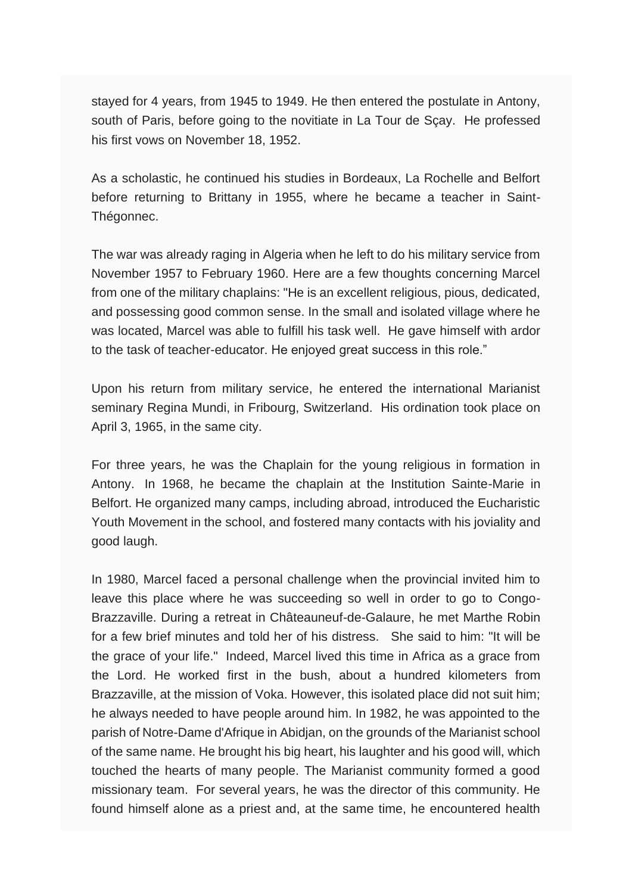stayed for 4 years, from 1945 to 1949. He then entered the postulate in Antony, south of Paris, before going to the novitiate in La Tour de Sçay. He professed his first vows on November 18, 1952.

As a scholastic, he continued his studies in Bordeaux, La Rochelle and Belfort before returning to Brittany in 1955, where he became a teacher in Saint-Thégonnec.

The war was already raging in Algeria when he left to do his military service from November 1957 to February 1960. Here are a few thoughts concerning Marcel from one of the military chaplains: "He is an excellent religious, pious, dedicated, and possessing good common sense. In the small and isolated village where he was located, Marcel was able to fulfill his task well. He gave himself with ardor to the task of teacher-educator. He enjoyed great success in this role."

Upon his return from military service, he entered the international Marianist seminary Regina Mundi, in Fribourg, Switzerland. His ordination took place on April 3, 1965, in the same city.

For three years, he was the Chaplain for the young religious in formation in Antony. In 1968, he became the chaplain at the Institution Sainte-Marie in Belfort. He organized many camps, including abroad, introduced the Eucharistic Youth Movement in the school, and fostered many contacts with his joviality and good laugh.

In 1980, Marcel faced a personal challenge when the provincial invited him to leave this place where he was succeeding so well in order to go to Congo-Brazzaville. During a retreat in Châteauneuf-de-Galaure, he met Marthe Robin for a few brief minutes and told her of his distress. She said to him: "It will be the grace of your life." Indeed, Marcel lived this time in Africa as a grace from the Lord. He worked first in the bush, about a hundred kilometers from Brazzaville, at the mission of Voka. However, this isolated place did not suit him; he always needed to have people around him. In 1982, he was appointed to the parish of Notre-Dame d'Afrique in Abidjan, on the grounds of the Marianist school of the same name. He brought his big heart, his laughter and his good will, which touched the hearts of many people. The Marianist community formed a good missionary team. For several years, he was the director of this community. He found himself alone as a priest and, at the same time, he encountered health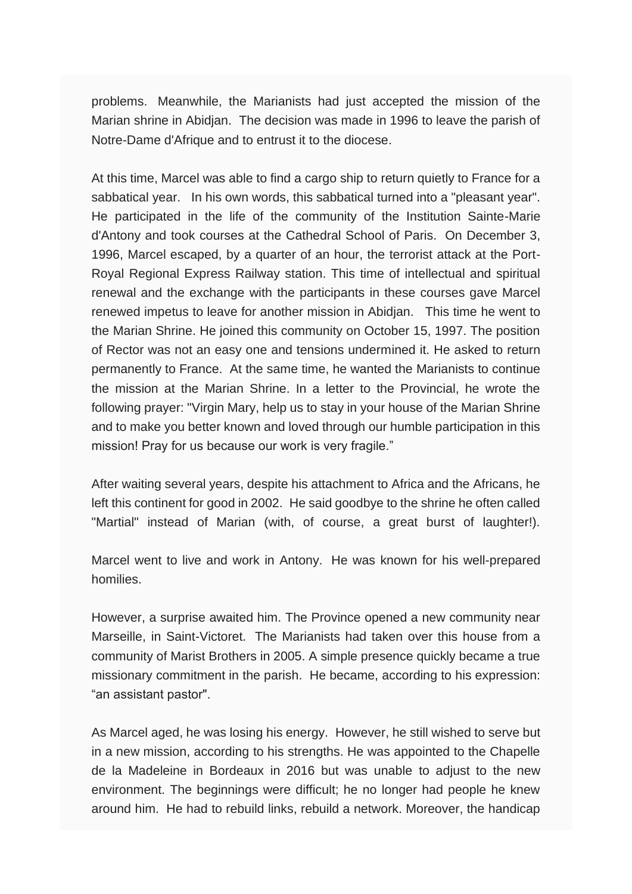problems. Meanwhile, the Marianists had just accepted the mission of the Marian shrine in Abidjan. The decision was made in 1996 to leave the parish of Notre-Dame d'Afrique and to entrust it to the diocese.

At this time, Marcel was able to find a cargo ship to return quietly to France for a sabbatical year. In his own words, this sabbatical turned into a "pleasant year". He participated in the life of the community of the Institution Sainte-Marie d'Antony and took courses at the Cathedral School of Paris. On December 3, 1996, Marcel escaped, by a quarter of an hour, the terrorist attack at the Port-Royal Regional Express Railway station. This time of intellectual and spiritual renewal and the exchange with the participants in these courses gave Marcel renewed impetus to leave for another mission in Abidjan. This time he went to the Marian Shrine. He joined this community on October 15, 1997. The position of Rector was not an easy one and tensions undermined it. He asked to return permanently to France. At the same time, he wanted the Marianists to continue the mission at the Marian Shrine. In a letter to the Provincial, he wrote the following prayer: "Virgin Mary, help us to stay in your house of the Marian Shrine and to make you better known and loved through our humble participation in this mission! Pray for us because our work is very fragile."

After waiting several years, despite his attachment to Africa and the Africans, he left this continent for good in 2002. He said goodbye to the shrine he often called "Martial" instead of Marian (with, of course, a great burst of laughter!).

Marcel went to live and work in Antony. He was known for his well-prepared homilies.

However, a surprise awaited him. The Province opened a new community near Marseille, in Saint-Victoret. The Marianists had taken over this house from a community of Marist Brothers in 2005. A simple presence quickly became a true missionary commitment in the parish. He became, according to his expression: "an assistant pastor".

As Marcel aged, he was losing his energy. However, he still wished to serve but in a new mission, according to his strengths. He was appointed to the Chapelle de la Madeleine in Bordeaux in 2016 but was unable to adjust to the new environment. The beginnings were difficult; he no longer had people he knew around him. He had to rebuild links, rebuild a network. Moreover, the handicap